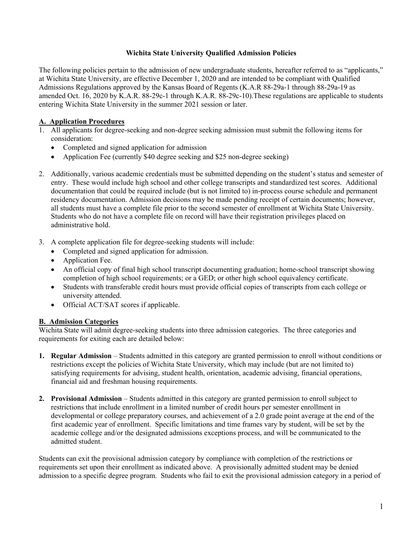#### **Wichita State University Qualified Admission Policies**

The following policies pertain to the admission of new undergraduate students, hereafter referred to as "applicants," at Wichita State University, are effective December 1, 2020 and are intended to be compliant with Qualified Admissions Regulations approved by the Kansas Board of Regents (K.A.R 88-29a-1 through 88-29a-19 as amended Oct. 16, 2020 by K.A.R. 88-29c-1 through K.A.R. 88-29c-10).These regulations are applicable to students entering Wichita State University in the summer 2021 session or later.

# **A. Application Procedures**

- 1. All applicants for degree-seeking and non-degree seeking admission must submit the following items for consideration:
	- Completed and signed application for admission
	- Application Fee (currently \$40 degree seeking and \$25 non-degree seeking)
- 2. Additionally, various academic credentials must be submitted depending on the student's status and semester of entry. These would include high school and other college transcripts and standardized test scores. Additional documentation that could be required include (but is not limited to) in-process course schedule and permanent residency documentation. Admission decisions may be made pending receipt of certain documents; however, all students must have a complete file prior to the second semester of enrollment at Wichita State University. Students who do not have a complete file on record will have their registration privileges placed on administrative hold.
- 3. A complete application file for degree-seeking students will include:
	- Completed and signed application for admission.
	- Application Fee.
	- An official copy of final high school transcript documenting graduation; home-school transcript showing completion of high school requirements; or a GED; or other high school equivalency certificate.
	- Students with transferable credit hours must provide official copies of transcripts from each college or university attended.
	- Official ACT/SAT scores if applicable.

# **B. Admission Categories**

Wichita State will admit degree-seeking students into three admission categories. The three categories and requirements for exiting each are detailed below:

- **1. Regular Admission** Students admitted in this category are granted permission to enroll without conditions or restrictions except the policies of Wichita State University, which may include (but are not limited to) satisfying requirements for advising, student health, orientation, academic advising, financial operations, financial aid and freshman housing requirements.
- **2. Provisional Admission** Students admitted in this category are granted permission to enroll subject to restrictions that include enrollment in a limited number of credit hours per semester enrollment in developmental or college preparatory courses, and achievement of a 2.0 grade point average at the end of the first academic year of enrollment. Specific limitations and time frames vary by student, will be set by the academic college and/or the designated admissions exceptions process, and will be communicated to the admitted student.

Students can exit the provisional admission category by compliance with completion of the restrictions or requirements set upon their enrollment as indicated above. A provisionally admitted student may be denied admission to a specific degree program. Students who fail to exit the provisional admission category in a period of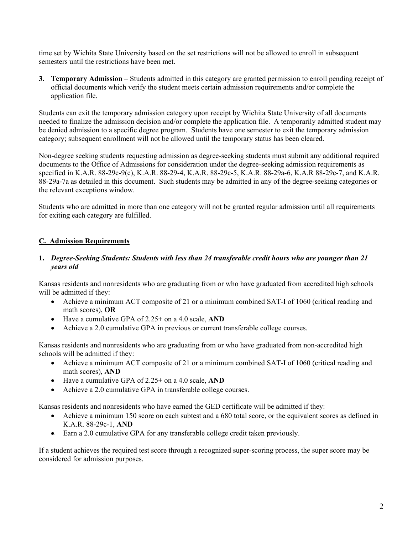time set by Wichita State University based on the set restrictions will not be allowed to enroll in subsequent semesters until the restrictions have been met.

**3. Temporary Admission** – Students admitted in this category are granted permission to enroll pending receipt of official documents which verify the student meets certain admission requirements and/or complete the application file.

Students can exit the temporary admission category upon receipt by Wichita State University of all documents needed to finalize the admission decision and/or complete the application file. A temporarily admitted student may be denied admission to a specific degree program. Students have one semester to exit the temporary admission category; subsequent enrollment will not be allowed until the temporary status has been cleared.

Non-degree seeking students requesting admission as degree-seeking students must submit any additional required documents to the Office of Admissions for consideration under the degree-seeking admission requirements as specified in K.A.R. 88-29c-9(c), K.A.R. 88-29-4, K.A.R. 88-29c-5, K.A.R. 88-29a-6, K.A.R 88-29c-7, and K.A.R. 88-29a-7a as detailed in this document. Such students may be admitted in any of the degree-seeking categories or the relevant exceptions window.

Students who are admitted in more than one category will not be granted regular admission until all requirements for exiting each category are fulfilled.

# **C. Admission Requirements**

### **1.** *Degree-Seeking Students: Students with less than 24 transferable credit hours who are younger than 21 years old*

Kansas residents and nonresidents who are graduating from or who have graduated from accredited high schools will be admitted if they:

- Achieve a minimum ACT composite of 21 or a minimum combined SAT-I of 1060 (critical reading and math scores), **OR**
- Have a cumulative GPA of 2.25+ on a 4.0 scale, **AND**
- Achieve a 2.0 cumulative GPA in previous or current transferable college courses.

Kansas residents and nonresidents who are graduating from or who have graduated from non-accredited high schools will be admitted if they:

- Achieve a minimum ACT composite of 21 or a minimum combined SAT-I of 1060 (critical reading and math scores), **AND**
- Have a cumulative GPA of 2.25+ on a 4.0 scale, **AND**
- Achieve a 2.0 cumulative GPA in transferable college courses.

Kansas residents and nonresidents who have earned the GED certificate will be admitted if they:

- Achieve a minimum 150 score on each subtest and a 680 total score, or the equivalent scores as defined in K.A.R. 88-29c-1, **AND**
- Earn a 2.0 cumulative GPA for any transferable college credit taken previously.

If a student achieves the required test score through a recognized super-scoring process, the super score may be considered for admission purposes.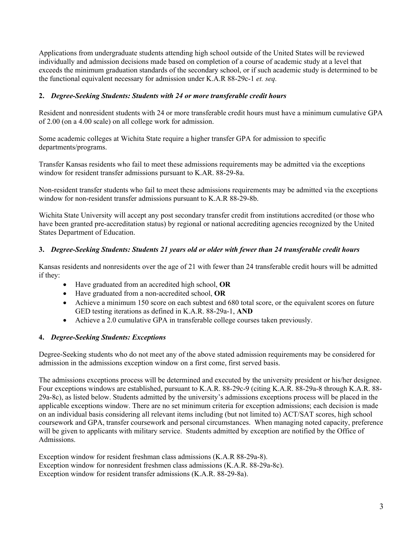Applications from undergraduate students attending high school outside of the United States will be reviewed individually and admission decisions made based on completion of a course of academic study at a level that exceeds the minimum graduation standards of the secondary school, or if such academic study is determined to be the functional equivalent necessary for admission under K.A.R 88-29c-1 *et. seq.*

### **2.** *Degree-Seeking Students: Students with 24 or more transferable credit hours*

Resident and nonresident students with 24 or more transferable credit hours must have a minimum cumulative GPA of 2.00 (on a 4.00 scale) on all college work for admission.

Some academic colleges at Wichita State require a higher transfer GPA for admission to specific departments/programs.

Transfer Kansas residents who fail to meet these admissions requirements may be admitted via the exceptions window for resident transfer admissions pursuant to K.AR. 88-29-8a.

Non-resident transfer students who fail to meet these admissions requirements may be admitted via the exceptions window for non-resident transfer admissions pursuant to K.A.R 88-29-8b.

Wichita State University will accept any post secondary transfer credit from institutions accredited (or those who have been granted pre-accreditation status) by regional or national accrediting agencies recognized by the United States Department of Education.

#### **3.** *Degree-Seeking Students: Students 21 years old or older with fewer than 24 transferable credit hours*

Kansas residents and nonresidents over the age of 21 with fewer than 24 transferable credit hours will be admitted if they:

- Have graduated from an accredited high school, **OR**
- Have graduated from a non-accredited school, **OR**
- Achieve a minimum 150 score on each subtest and 680 total score, or the equivalent scores on future GED testing iterations as defined in K.A.R. 88-29a-1, **AND**
- Achieve a 2.0 cumulative GPA in transferable college courses taken previously.

#### **4.** *Degree-Seeking Students: Exceptions*

Degree-Seeking students who do not meet any of the above stated admission requirements may be considered for admission in the admissions exception window on a first come, first served basis.

The admissions exceptions process will be determined and executed by the university president or his/her designee. Four exceptions windows are established, pursuant to K.A.R. 88-29c-9 (citing K.A.R. 88-29a-8 through K.A.R. 88- 29a-8c), as listed below. Students admitted by the university's admissions exceptions process will be placed in the applicable exceptions window. There are no set minimum criteria for exception admissions; each decision is made on an individual basis considering all relevant items including (but not limited to) ACT/SAT scores, high school coursework and GPA, transfer coursework and personal circumstances. When managing noted capacity, preference will be given to applicants with military service. Students admitted by exception are notified by the Office of Admissions.

Exception window for resident freshman class admissions (K.A.R 88-29a-8). Exception window for nonresident freshmen class admissions (K.A.R. 88-29a-8c). Exception window for resident transfer admissions (K.A.R. 88-29-8a).